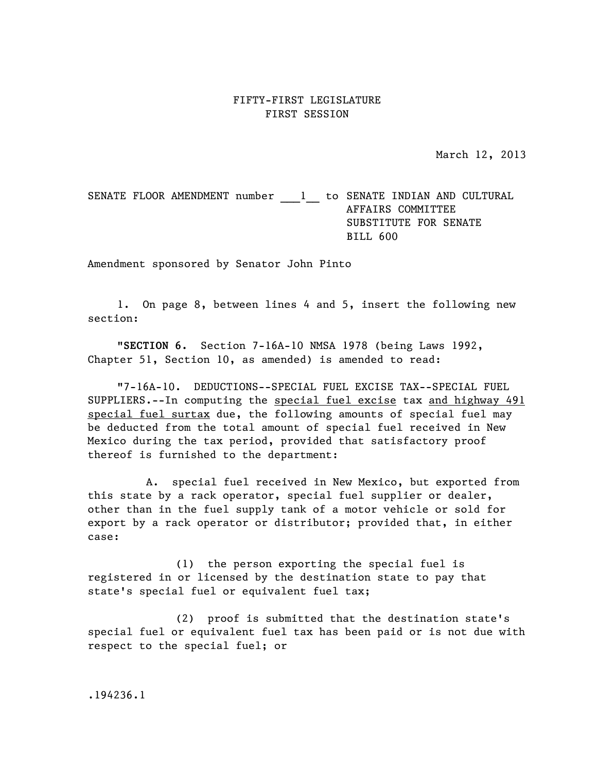## FIFTY-FIRST LEGISLATURE FIRST SESSION

March 12, 2013

SENATE FLOOR AMENDMENT number \_\_\_1\_\_\_ to SENATE INDIAN AND CULTURAL AFFAIRS COMMITTEE SUBSTITUTE FOR SENATE BILL 600

Amendment sponsored by Senator John Pinto

1. On page 8, between lines 4 and 5, insert the following new section:

"**SECTION 6.** Section 7-16A-10 NMSA 1978 (being Laws 1992, Chapter 51, Section 10, as amended) is amended to read:

"7-16A-10. DEDUCTIONS--SPECIAL FUEL EXCISE TAX--SPECIAL FUEL SUPPLIERS.--In computing the special fuel excise tax and highway 491 special fuel surtax due, the following amounts of special fuel may be deducted from the total amount of special fuel received in New Mexico during the tax period, provided that satisfactory proof thereof is furnished to the department:

A. special fuel received in New Mexico, but exported from this state by a rack operator, special fuel supplier or dealer, other than in the fuel supply tank of a motor vehicle or sold for export by a rack operator or distributor; provided that, in either case:

(1) the person exporting the special fuel is registered in or licensed by the destination state to pay that state's special fuel or equivalent fuel tax;

(2) proof is submitted that the destination state's special fuel or equivalent fuel tax has been paid or is not due with respect to the special fuel; or

.194236.1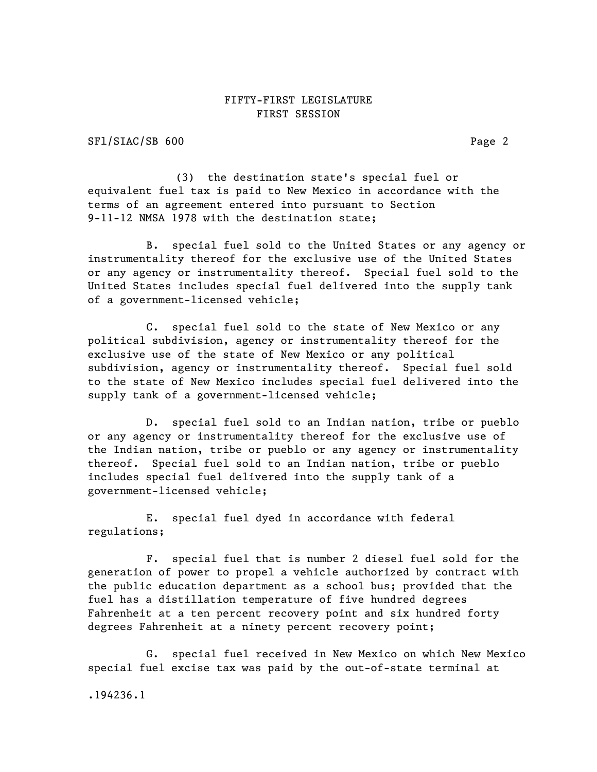## FIFTY-FIRST LEGISLATURE FIRST SESSION

SFl/SIAC/SB 600 Page 2

(3) the destination state's special fuel or equivalent fuel tax is paid to New Mexico in accordance with the terms of an agreement entered into pursuant to Section 9-11-12 NMSA 1978 with the destination state;

B. special fuel sold to the United States or any agency or instrumentality thereof for the exclusive use of the United States or any agency or instrumentality thereof. Special fuel sold to the United States includes special fuel delivered into the supply tank of a government-licensed vehicle;

C. special fuel sold to the state of New Mexico or any political subdivision, agency or instrumentality thereof for the exclusive use of the state of New Mexico or any political subdivision, agency or instrumentality thereof. Special fuel sold to the state of New Mexico includes special fuel delivered into the supply tank of a government-licensed vehicle;

D. special fuel sold to an Indian nation, tribe or pueblo or any agency or instrumentality thereof for the exclusive use of the Indian nation, tribe or pueblo or any agency or instrumentality thereof. Special fuel sold to an Indian nation, tribe or pueblo includes special fuel delivered into the supply tank of a government-licensed vehicle;

E. special fuel dyed in accordance with federal regulations;

F. special fuel that is number 2 diesel fuel sold for the generation of power to propel a vehicle authorized by contract with the public education department as a school bus; provided that the fuel has a distillation temperature of five hundred degrees Fahrenheit at a ten percent recovery point and six hundred forty degrees Fahrenheit at a ninety percent recovery point;

G. special fuel received in New Mexico on which New Mexico special fuel excise tax was paid by the out-of-state terminal at

.194236.1